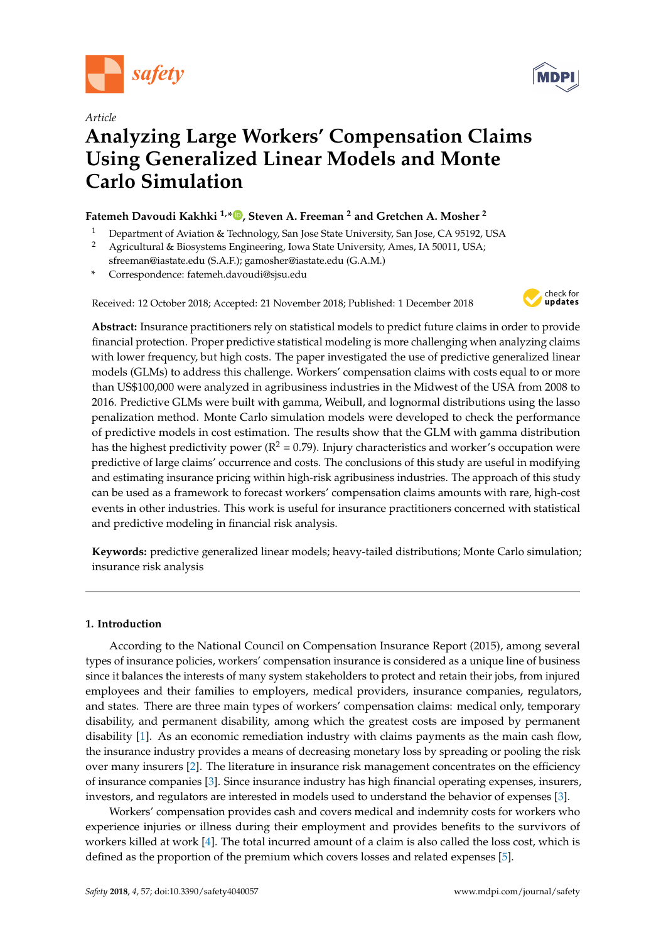

*Article*

# **Analyzing Large Workers' Compensation Claims Using Generalized Linear Models and Monte Carlo Simulation**

# **Fatemeh Davoudi Kakhki 1,[\\*](https://orcid.org/0000-0001-8088-7948) , Steven A. Freeman <sup>2</sup> and Gretchen A. Mosher <sup>2</sup>**

- <sup>1</sup> Department of Aviation & Technology, San Jose State University, San Jose, CA 95192, USA
- <sup>2</sup> Agricultural & Biosystems Engineering, Iowa State University, Ames, IA 50011, USA;
- sfreeman@iastate.edu (S.A.F.); gamosher@iastate.edu (G.A.M.)
- **\*** Correspondence: fatemeh.davoudi@sjsu.edu

Received: 12 October 2018; Accepted: 21 November 2018; Published: 1 December 2018



**Abstract:** Insurance practitioners rely on statistical models to predict future claims in order to provide financial protection. Proper predictive statistical modeling is more challenging when analyzing claims with lower frequency, but high costs. The paper investigated the use of predictive generalized linear models (GLMs) to address this challenge. Workers' compensation claims with costs equal to or more than US\$100,000 were analyzed in agribusiness industries in the Midwest of the USA from 2008 to 2016. Predictive GLMs were built with gamma, Weibull, and lognormal distributions using the lasso penalization method. Monte Carlo simulation models were developed to check the performance of predictive models in cost estimation. The results show that the GLM with gamma distribution has the highest predictivity power ( $R^2 = 0.79$ ). Injury characteristics and worker's occupation were predictive of large claims' occurrence and costs. The conclusions of this study are useful in modifying and estimating insurance pricing within high-risk agribusiness industries. The approach of this study can be used as a framework to forecast workers' compensation claims amounts with rare, high-cost events in other industries. This work is useful for insurance practitioners concerned with statistical and predictive modeling in financial risk analysis.

**Keywords:** predictive generalized linear models; heavy-tailed distributions; Monte Carlo simulation; insurance risk analysis

# **1. Introduction**

According to the National Council on Compensation Insurance Report (2015), among several types of insurance policies, workers' compensation insurance is considered as a unique line of business since it balances the interests of many system stakeholders to protect and retain their jobs, from injured employees and their families to employers, medical providers, insurance companies, regulators, and states. There are three main types of workers' compensation claims: medical only, temporary disability, and permanent disability, among which the greatest costs are imposed by permanent disability [\[1\]](#page-8-0). As an economic remediation industry with claims payments as the main cash flow, the insurance industry provides a means of decreasing monetary loss by spreading or pooling the risk over many insurers [\[2\]](#page-8-1). The literature in insurance risk management concentrates on the efficiency of insurance companies [\[3\]](#page-8-2). Since insurance industry has high financial operating expenses, insurers, investors, and regulators are interested in models used to understand the behavior of expenses [\[3\]](#page-8-2).

Workers' compensation provides cash and covers medical and indemnity costs for workers who experience injuries or illness during their employment and provides benefits to the survivors of workers killed at work [\[4\]](#page-8-3). The total incurred amount of a claim is also called the loss cost, which is defined as the proportion of the premium which covers losses and related expenses [\[5\]](#page-8-4).

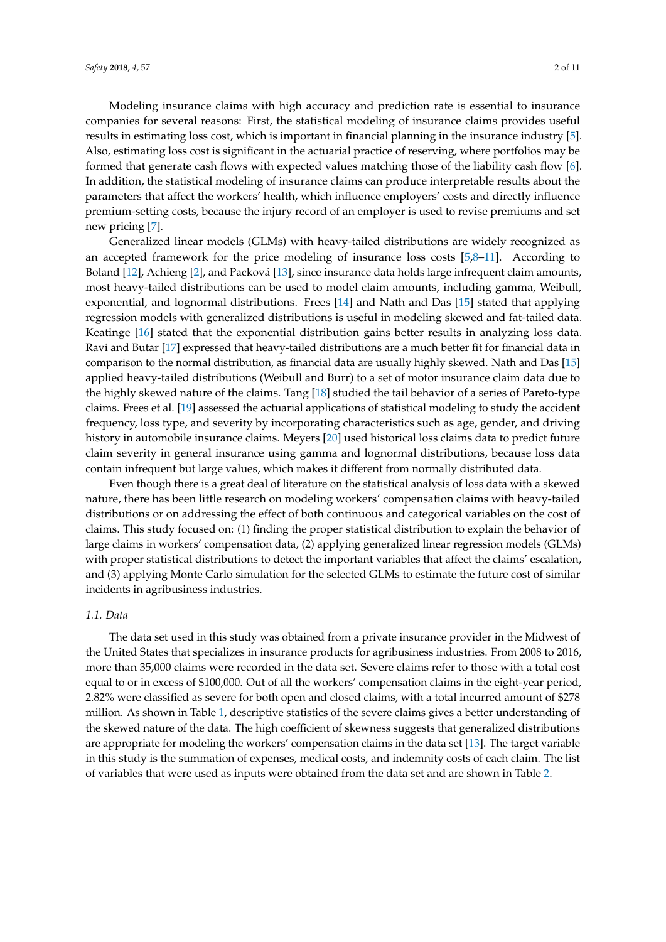Modeling insurance claims with high accuracy and prediction rate is essential to insurance companies for several reasons: First, the statistical modeling of insurance claims provides useful results in estimating loss cost, which is important in financial planning in the insurance industry [\[5\]](#page-8-4). Also, estimating loss cost is significant in the actuarial practice of reserving, where portfolios may be formed that generate cash flows with expected values matching those of the liability cash flow [\[6\]](#page-8-5). In addition, the statistical modeling of insurance claims can produce interpretable results about the parameters that affect the workers' health, which influence employers' costs and directly influence premium-setting costs, because the injury record of an employer is used to revise premiums and set new pricing [\[7\]](#page-9-0).

Generalized linear models (GLMs) with heavy-tailed distributions are widely recognized as an accepted framework for the price modeling of insurance loss costs [\[5](#page-8-4)[,8–](#page-9-1)[11\]](#page-9-2). According to Boland [\[12\]](#page-9-3), Achieng [\[2\]](#page-8-1), and Packová [\[13\]](#page-9-4), since insurance data holds large infrequent claim amounts, most heavy-tailed distributions can be used to model claim amounts, including gamma, Weibull, exponential, and lognormal distributions. Frees [\[14\]](#page-9-5) and Nath and Das [\[15\]](#page-9-6) stated that applying regression models with generalized distributions is useful in modeling skewed and fat-tailed data. Keatinge [\[16\]](#page-9-7) stated that the exponential distribution gains better results in analyzing loss data. Ravi and Butar [\[17\]](#page-9-8) expressed that heavy-tailed distributions are a much better fit for financial data in comparison to the normal distribution, as financial data are usually highly skewed. Nath and Das [\[15\]](#page-9-6) applied heavy-tailed distributions (Weibull and Burr) to a set of motor insurance claim data due to the highly skewed nature of the claims. Tang [\[18\]](#page-9-9) studied the tail behavior of a series of Pareto-type claims. Frees et al. [\[19\]](#page-9-10) assessed the actuarial applications of statistical modeling to study the accident frequency, loss type, and severity by incorporating characteristics such as age, gender, and driving history in automobile insurance claims. Meyers [\[20\]](#page-9-11) used historical loss claims data to predict future claim severity in general insurance using gamma and lognormal distributions, because loss data contain infrequent but large values, which makes it different from normally distributed data.

Even though there is a great deal of literature on the statistical analysis of loss data with a skewed nature, there has been little research on modeling workers' compensation claims with heavy-tailed distributions or on addressing the effect of both continuous and categorical variables on the cost of claims. This study focused on: (1) finding the proper statistical distribution to explain the behavior of large claims in workers' compensation data, (2) applying generalized linear regression models (GLMs) with proper statistical distributions to detect the important variables that affect the claims' escalation, and (3) applying Monte Carlo simulation for the selected GLMs to estimate the future cost of similar incidents in agribusiness industries.

# *1.1. Data*

The data set used in this study was obtained from a private insurance provider in the Midwest of the United States that specializes in insurance products for agribusiness industries. From 2008 to 2016, more than 35,000 claims were recorded in the data set. Severe claims refer to those with a total cost equal to or in excess of \$100,000. Out of all the workers' compensation claims in the eight-year period, 2.82% were classified as severe for both open and closed claims, with a total incurred amount of \$278 million. As shown in Table [1,](#page-2-0) descriptive statistics of the severe claims gives a better understanding of the skewed nature of the data. The high coefficient of skewness suggests that generalized distributions are appropriate for modeling the workers' compensation claims in the data set [\[13\]](#page-9-4). The target variable in this study is the summation of expenses, medical costs, and indemnity costs of each claim. The list of variables that were used as inputs were obtained from the data set and are shown in Table [2.](#page-2-1)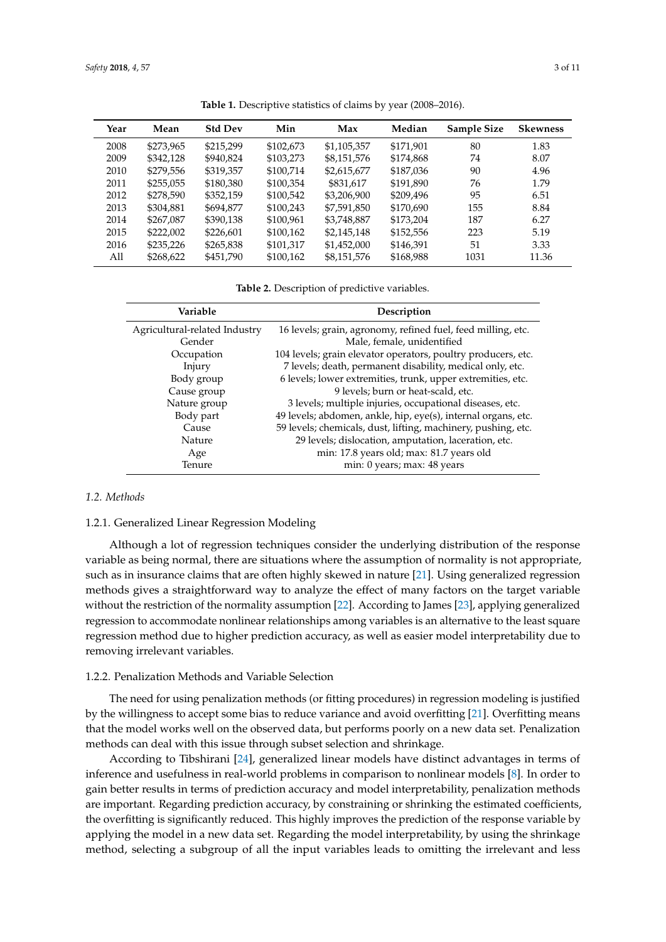<span id="page-2-0"></span>

| <b>Skewness</b> |
|-----------------|
| 1.83            |
| 8.07            |
| 4.96            |
| 1.79            |
| 6.51            |
| 8.84            |
| 6.27            |
| 5.19            |
| 3.33            |
| 11.36           |
|                 |

**Table 1.** Descriptive statistics of claims by year (2008–2016).

**Table 2.** Description of predictive variables.

<span id="page-2-1"></span>

| Variable                                                                   | Description                                                   |  |  |
|----------------------------------------------------------------------------|---------------------------------------------------------------|--|--|
| Agricultural-related Industry                                              | 16 levels; grain, agronomy, refined fuel, feed milling, etc.  |  |  |
| Gender                                                                     | Male, female, unidentified                                    |  |  |
| Occupation                                                                 | 104 levels; grain elevator operators, poultry producers, etc. |  |  |
| Injury                                                                     | 7 levels; death, permanent disability, medical only, etc.     |  |  |
| Body group                                                                 | 6 levels; lower extremities, trunk, upper extremities, etc.   |  |  |
| Cause group                                                                | 9 levels; burn or heat-scald, etc.                            |  |  |
| Nature group                                                               | 3 levels; multiple injuries, occupational diseases, etc.      |  |  |
| 49 levels; abdomen, ankle, hip, eye(s), internal organs, etc.<br>Body part |                                                               |  |  |
| 59 levels; chemicals, dust, lifting, machinery, pushing, etc.<br>Cause     |                                                               |  |  |
| 29 levels; dislocation, amputation, laceration, etc.<br>Nature             |                                                               |  |  |
| Age                                                                        | min: 17.8 years old; max: 81.7 years old                      |  |  |
| Tenure                                                                     | min: 0 years; max: 48 years                                   |  |  |

# *1.2. Methods*

#### 1.2.1. Generalized Linear Regression Modeling

Although a lot of regression techniques consider the underlying distribution of the response variable as being normal, there are situations where the assumption of normality is not appropriate, such as in insurance claims that are often highly skewed in nature [\[21\]](#page-9-12). Using generalized regression methods gives a straightforward way to analyze the effect of many factors on the target variable without the restriction of the normality assumption [\[22\]](#page-9-13). According to James [\[23\]](#page-9-14), applying generalized regression to accommodate nonlinear relationships among variables is an alternative to the least square regression method due to higher prediction accuracy, as well as easier model interpretability due to removing irrelevant variables.

## 1.2.2. Penalization Methods and Variable Selection

The need for using penalization methods (or fitting procedures) in regression modeling is justified by the willingness to accept some bias to reduce variance and avoid overfitting [\[21\]](#page-9-12). Overfitting means that the model works well on the observed data, but performs poorly on a new data set. Penalization methods can deal with this issue through subset selection and shrinkage.

According to Tibshirani [\[24\]](#page-9-15), generalized linear models have distinct advantages in terms of inference and usefulness in real-world problems in comparison to nonlinear models [\[8\]](#page-9-1). In order to gain better results in terms of prediction accuracy and model interpretability, penalization methods are important. Regarding prediction accuracy, by constraining or shrinking the estimated coefficients, the overfitting is significantly reduced. This highly improves the prediction of the response variable by applying the model in a new data set. Regarding the model interpretability, by using the shrinkage method, selecting a subgroup of all the input variables leads to omitting the irrelevant and less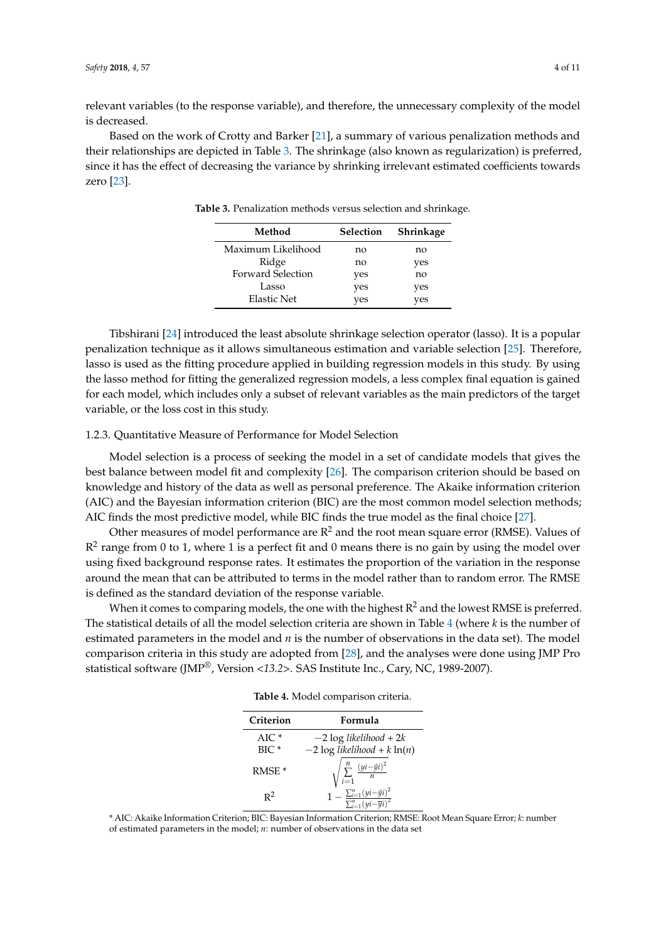relevant variables (to the response variable), and therefore, the unnecessary complexity of the model is decreased.

<span id="page-3-0"></span>Based on the work of Crotty and Barker [\[21\]](#page-9-12), a summary of various penalization methods and their relationships are depicted in Table [3.](#page-3-0) The shrinkage (also known as regularization) is preferred, since it has the effect of decreasing the variance by shrinking irrelevant estimated coefficients towards zero [\[23\]](#page-9-14).

| Method                   | Selection | Shrinkage |
|--------------------------|-----------|-----------|
| Maximum Likelihood       | no        | no        |
| Ridge                    | no        | yes       |
| <b>Forward Selection</b> | yes       | no        |
| Lasso                    | yes       | yes       |
| Elastic Net              | yes       | ves       |

**Table 3.** Penalization methods versus selection and shrinkage.

Tibshirani [\[24\]](#page-9-15) introduced the least absolute shrinkage selection operator (lasso). It is a popular penalization technique as it allows simultaneous estimation and variable selection [\[25\]](#page-9-16). Therefore, lasso is used as the fitting procedure applied in building regression models in this study. By using the lasso method for fitting the generalized regression models, a less complex final equation is gained for each model, which includes only a subset of relevant variables as the main predictors of the target variable, or the loss cost in this study.

# 1.2.3. Quantitative Measure of Performance for Model Selection

Model selection is a process of seeking the model in a set of candidate models that gives the best balance between model fit and complexity [\[26\]](#page-9-17). The comparison criterion should be based on knowledge and history of the data as well as personal preference. The Akaike information criterion (AIC) and the Bayesian information criterion (BIC) are the most common model selection methods; AIC finds the most predictive model, while BIC finds the true model as the final choice [\[27\]](#page-9-18).

Other measures of model performance are  $\mathbb{R}^2$  and the root mean square error (RMSE). Values of  $R<sup>2</sup>$  range from 0 to 1, where 1 is a perfect fit and 0 means there is no gain by using the model over using fixed background response rates. It estimates the proportion of the variation in the response around the mean that can be attributed to terms in the model rather than to random error. The RMSE is defined as the standard deviation of the response variable.

<span id="page-3-1"></span>When it comes to comparing models, the one with the highest  $R^2$  and the lowest RMSE is preferred. The statistical details of all the model selection criteria are shown in Table [4](#page-3-1) (where *k* is the number of estimated parameters in the model and *n* is the number of observations in the data set). The model comparison criteria in this study are adopted from [\[28\]](#page-9-19), and the analyses were done using JMP Pro statistical software (JMP®, Version *<13.2>*. SAS Institute Inc., Cary, NC, 1989-2007).

| Criterion         | Formula                                                                              |
|-------------------|--------------------------------------------------------------------------------------|
| AIC $*$           | $-2 \log$ likelihood + 2k                                                            |
| $BIC^*$           | $-2 \log likelihood + k \ln(n)$                                                      |
| RMSE <sup>*</sup> | $\sqrt{\sum_{i=1}^n \frac{(yi - \hat{y}_i)^2}{n}}$                                   |
| $\mathbb{R}^2$    | $1 - \frac{\sum_{i=1}^{n} (yi - \hat{y}i)^2}{\sum_{i=1}^{n} (yi - \overline{y}i)^2}$ |

\* AIC: Akaike Information Criterion; BIC: Bayesian Information Criterion; RMSE: Root Mean Square Error; *k*: number of estimated parameters in the model; *n*: number of observations in the data set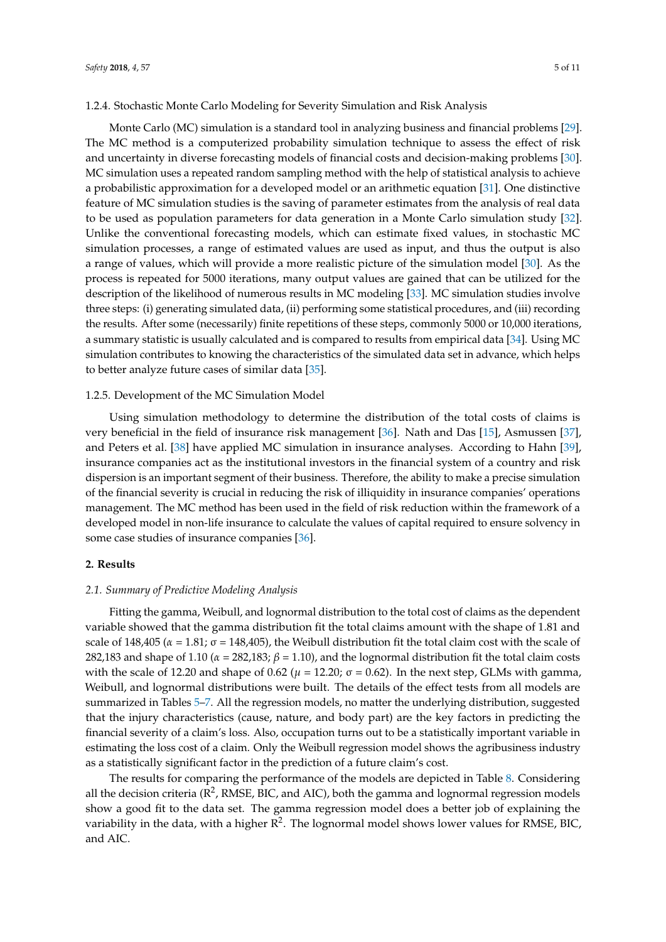## 1.2.4. Stochastic Monte Carlo Modeling for Severity Simulation and Risk Analysis

Monte Carlo (MC) simulation is a standard tool in analyzing business and financial problems [\[29\]](#page-9-20). The MC method is a computerized probability simulation technique to assess the effect of risk and uncertainty in diverse forecasting models of financial costs and decision-making problems [\[30\]](#page-9-21). MC simulation uses a repeated random sampling method with the help of statistical analysis to achieve a probabilistic approximation for a developed model or an arithmetic equation [\[31\]](#page-9-22). One distinctive feature of MC simulation studies is the saving of parameter estimates from the analysis of real data to be used as population parameters for data generation in a Monte Carlo simulation study [\[32\]](#page-9-23). Unlike the conventional forecasting models, which can estimate fixed values, in stochastic MC simulation processes, a range of estimated values are used as input, and thus the output is also a range of values, which will provide a more realistic picture of the simulation model [\[30\]](#page-9-21). As the process is repeated for 5000 iterations, many output values are gained that can be utilized for the description of the likelihood of numerous results in MC modeling [\[33\]](#page-10-0). MC simulation studies involve three steps: (i) generating simulated data, (ii) performing some statistical procedures, and (iii) recording the results. After some (necessarily) finite repetitions of these steps, commonly 5000 or 10,000 iterations, a summary statistic is usually calculated and is compared to results from empirical data [\[34\]](#page-10-1). Using MC simulation contributes to knowing the characteristics of the simulated data set in advance, which helps to better analyze future cases of similar data [\[35\]](#page-10-2).

# 1.2.5. Development of the MC Simulation Model

Using simulation methodology to determine the distribution of the total costs of claims is very beneficial in the field of insurance risk management [\[36\]](#page-10-3). Nath and Das [\[15\]](#page-9-6), Asmussen [\[37\]](#page-10-4), and Peters et al. [\[38\]](#page-10-5) have applied MC simulation in insurance analyses. According to Hahn [\[39\]](#page-10-6), insurance companies act as the institutional investors in the financial system of a country and risk dispersion is an important segment of their business. Therefore, the ability to make a precise simulation of the financial severity is crucial in reducing the risk of illiquidity in insurance companies' operations management. The MC method has been used in the field of risk reduction within the framework of a developed model in non-life insurance to calculate the values of capital required to ensure solvency in some case studies of insurance companies [\[36\]](#page-10-3).

#### **2. Results**

#### *2.1. Summary of Predictive Modeling Analysis*

Fitting the gamma, Weibull, and lognormal distribution to the total cost of claims as the dependent variable showed that the gamma distribution fit the total claims amount with the shape of 1.81 and scale of  $148,405$  ( $\alpha = 1.81$ ;  $\sigma = 148,405$ ), the Weibull distribution fit the total claim cost with the scale of 282,183 and shape of 1.10 ( $\alpha$  = 282,183;  $\beta$  = 1.10), and the lognormal distribution fit the total claim costs with the scale of 12.20 and shape of 0.62 ( $\mu$  = 12.20; σ = 0.62). In the next step, GLMs with gamma, Weibull, and lognormal distributions were built. The details of the effect tests from all models are summarized in Tables [5](#page-5-0)[–7.](#page-5-1) All the regression models, no matter the underlying distribution, suggested that the injury characteristics (cause, nature, and body part) are the key factors in predicting the financial severity of a claim's loss. Also, occupation turns out to be a statistically important variable in estimating the loss cost of a claim. Only the Weibull regression model shows the agribusiness industry as a statistically significant factor in the prediction of a future claim's cost.

The results for comparing the performance of the models are depicted in Table [8.](#page-5-2) Considering all the decision criteria ( $\mathbb{R}^2$ , RMSE, BIC, and AIC), both the gamma and lognormal regression models show a good fit to the data set. The gamma regression model does a better job of explaining the variability in the data, with a higher  $\mathsf{R}^2.$  The lognormal model shows lower values for RMSE, BIC, and AIC.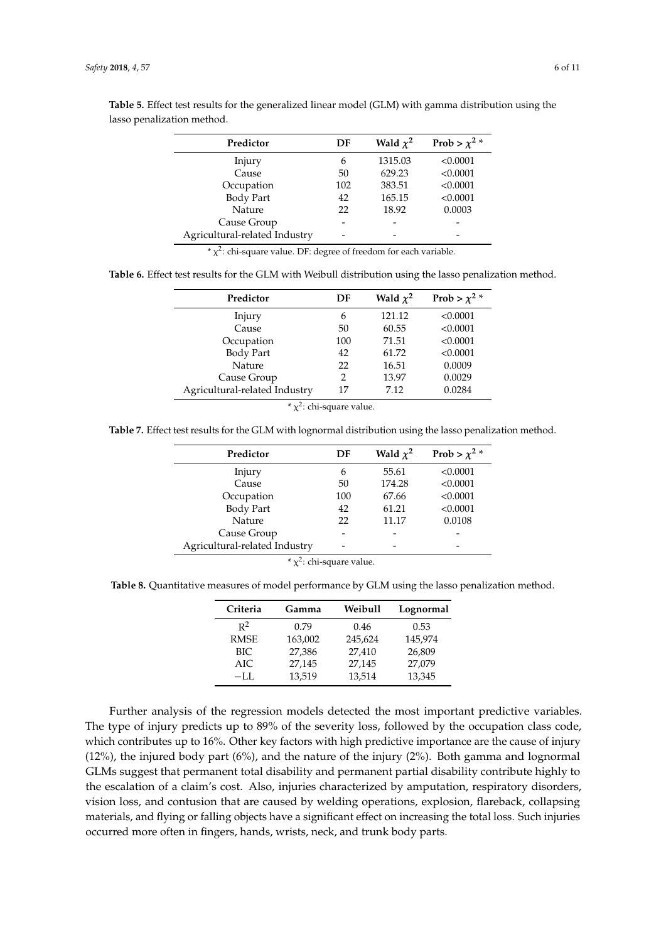| Predictor                     | DF  | Wald $\chi^2$ | Prob > $\chi^2$ * |
|-------------------------------|-----|---------------|-------------------|
| Injury                        | 6   | 1315.03       | < 0.0001          |
| Cause                         | 50  | 629.23        | < 0.0001          |
| Occupation                    | 102 | 383.51        | < 0.0001          |
| <b>Body Part</b>              | 42  | 165.15        | < 0.0001          |
| Nature                        | 22  | 18.92         | 0.0003            |
| Cause Group                   |     |               |                   |
| Agricultural-related Industry |     |               |                   |

<span id="page-5-0"></span>**Table 5.** Effect test results for the generalized linear model (GLM) with gamma distribution using the lasso penalization method.

\*  $\chi^2$ : chi-square value. DF: degree of freedom for each variable.

**Table 6.** Effect test results for the GLM with Weibull distribution using the lasso penalization method.

| Predictor                     | DF             | Wald $\chi^2$ | Prob > $\chi^2$ * |
|-------------------------------|----------------|---------------|-------------------|
| Injury                        | 6              | 121.12        | < 0.0001          |
| Cause                         | 50             | 60.55         | < 0.0001          |
| Occupation                    | 100            | 71.51         | < 0.0001          |
| <b>Body Part</b>              | 42             | 61.72         | < 0.0001          |
| Nature                        | 22             | 16.51         | 0.0009            |
| Cause Group                   | $\overline{2}$ | 13.97         | 0.0029            |
| Agricultural-related Industry | 17             | 7.12          | 0.0284            |

 $*\chi^2$ : chi-square value.

<span id="page-5-1"></span>**Table 7.** Effect test results for the GLM with lognormal distribution using the lasso penalization method.

| Predictor                                      | DF  | Wald $\chi^2$ | Prob > $\chi^2$ * |
|------------------------------------------------|-----|---------------|-------------------|
| Injury                                         | 6   | 55.61         | < 0.0001          |
| Cause                                          | 50  | 174.28        | < 0.0001          |
| Occupation                                     | 100 | 67.66         | < 0.0001          |
| Body Part                                      | 42  | 61.21         | < 0.0001          |
| Nature                                         | 22  | 11.17         | 0.0108            |
| Cause Group                                    | ۰   |               |                   |
| Agricultural-related Industry<br>$\sim$ $\sim$ | -   |               |                   |

 $*\chi^2$ : chi-square value.

<span id="page-5-2"></span>**Table 8.** Quantitative measures of model performance by GLM using the lasso penalization method.

| Criteria    | Gamma   | Weibull | Lognormal |
|-------------|---------|---------|-----------|
| $R^2$       | 0.79    | 0.46    | 0.53      |
| <b>RMSE</b> | 163,002 | 245,624 | 145.974   |
| BIC.        | 27,386  | 27,410  | 26,809    |
| AIC.        | 27,145  | 27,145  | 27,079    |
| $-I.I.$     | 13,519  | 13,514  | 13,345    |
|             |         |         |           |

Further analysis of the regression models detected the most important predictive variables. The type of injury predicts up to 89% of the severity loss, followed by the occupation class code, which contributes up to 16%. Other key factors with high predictive importance are the cause of injury (12%), the injured body part (6%), and the nature of the injury (2%). Both gamma and lognormal GLMs suggest that permanent total disability and permanent partial disability contribute highly to the escalation of a claim's cost. Also, injuries characterized by amputation, respiratory disorders, vision loss, and contusion that are caused by welding operations, explosion, flareback, collapsing materials, and flying or falling objects have a significant effect on increasing the total loss. Such injuries occurred more often in fingers, hands, wrists, neck, and trunk body parts.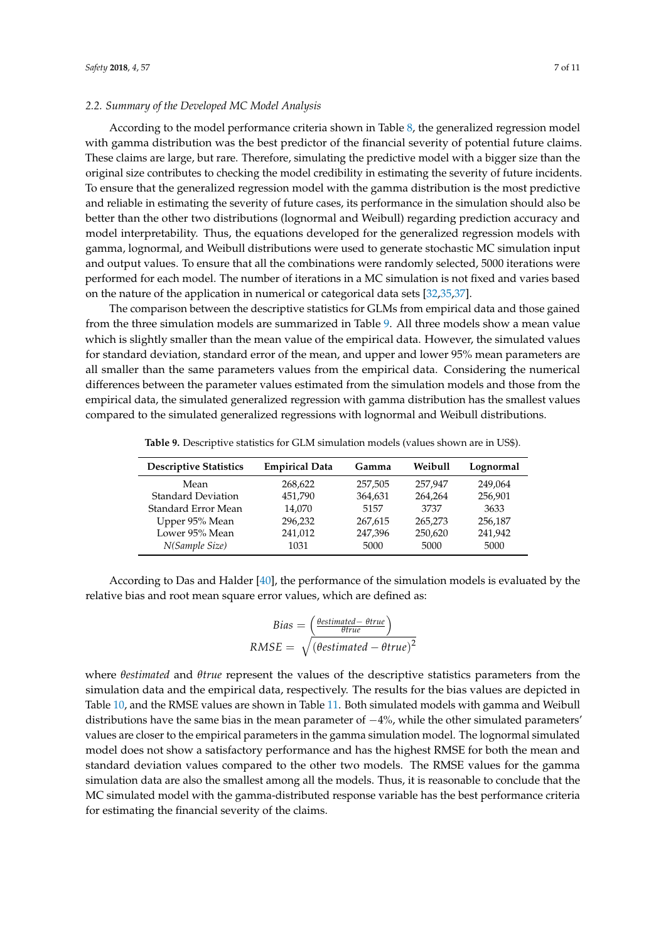## *2.2. Summary of the Developed MC Model Analysis*

According to the model performance criteria shown in Table [8,](#page-5-2) the generalized regression model with gamma distribution was the best predictor of the financial severity of potential future claims. These claims are large, but rare. Therefore, simulating the predictive model with a bigger size than the original size contributes to checking the model credibility in estimating the severity of future incidents. To ensure that the generalized regression model with the gamma distribution is the most predictive and reliable in estimating the severity of future cases, its performance in the simulation should also be better than the other two distributions (lognormal and Weibull) regarding prediction accuracy and model interpretability. Thus, the equations developed for the generalized regression models with gamma, lognormal, and Weibull distributions were used to generate stochastic MC simulation input and output values. To ensure that all the combinations were randomly selected, 5000 iterations were performed for each model. The number of iterations in a MC simulation is not fixed and varies based on the nature of the application in numerical or categorical data sets [\[32](#page-9-23)[,35](#page-10-2)[,37\]](#page-10-4).

The comparison between the descriptive statistics for GLMs from empirical data and those gained from the three simulation models are summarized in Table [9.](#page-6-0) All three models show a mean value which is slightly smaller than the mean value of the empirical data. However, the simulated values for standard deviation, standard error of the mean, and upper and lower 95% mean parameters are all smaller than the same parameters values from the empirical data. Considering the numerical differences between the parameter values estimated from the simulation models and those from the empirical data, the simulated generalized regression with gamma distribution has the smallest values compared to the simulated generalized regressions with lognormal and Weibull distributions.

<span id="page-6-0"></span>**Table 9.** Descriptive statistics for GLM simulation models (values shown are in US\$).

| <b>Descriptive Statistics</b> | <b>Empirical Data</b> | Gamma   | Weibull | Lognormal |
|-------------------------------|-----------------------|---------|---------|-----------|
| Mean                          | 268,622               | 257,505 | 257.947 | 249,064   |
| <b>Standard Deviation</b>     | 451,790               | 364,631 | 264.264 | 256,901   |
| Standard Error Mean           | 14,070                | 5157    | 3737    | 3633      |
| Upper 95% Mean                | 296,232               | 267,615 | 265,273 | 256,187   |
| Lower 95% Mean                | 241,012               | 247,396 | 250,620 | 241,942   |
| N(Sample Size)                | 1031                  | 5000    | 5000    | 5000      |

According to Das and Halder [\[40\]](#page-10-7), the performance of the simulation models is evaluated by the relative bias and root mean square error values, which are defined as:

$$
Bias = \left(\frac{\theta}{\theta} + \theta + \theta}{\theta} \right)
$$
\n
$$
RMSE = \sqrt{(\theta}{\theta} + \theta + \theta + \theta)^2
$$

where *θestimated* and *θtrue* represent the values of the descriptive statistics parameters from the simulation data and the empirical data, respectively. The results for the bias values are depicted in Table [10,](#page-7-0) and the RMSE values are shown in Table [11.](#page-7-1) Both simulated models with gamma and Weibull distributions have the same bias in the mean parameter of  $-4\%$ , while the other simulated parameters' values are closer to the empirical parameters in the gamma simulation model. The lognormal simulated model does not show a satisfactory performance and has the highest RMSE for both the mean and standard deviation values compared to the other two models. The RMSE values for the gamma simulation data are also the smallest among all the models. Thus, it is reasonable to conclude that the MC simulated model with the gamma-distributed response variable has the best performance criteria for estimating the financial severity of the claims.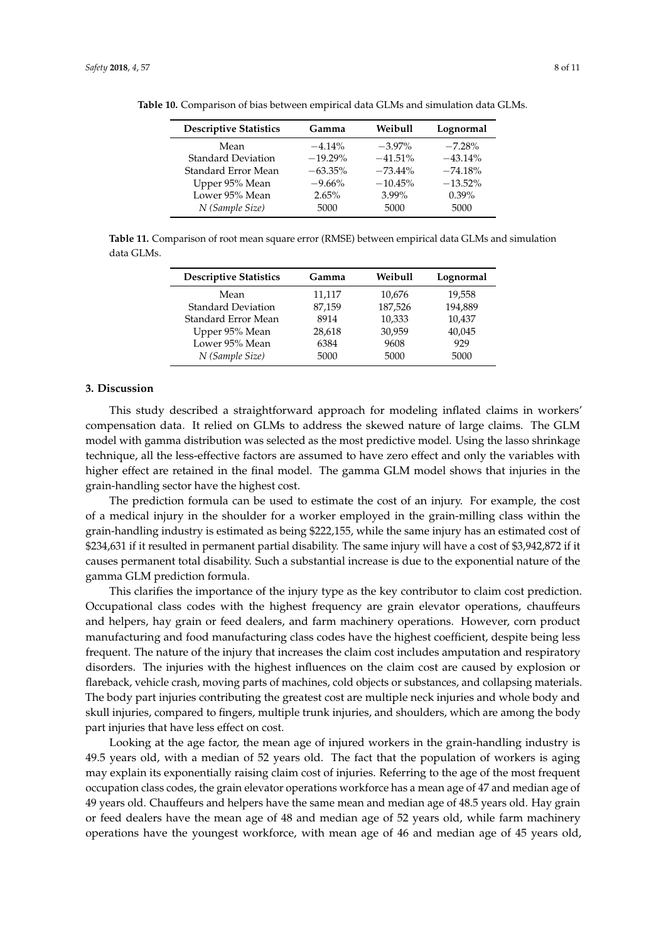| <b>Descriptive Statistics</b> | Gamma      | Weibull    | Lognormal  |
|-------------------------------|------------|------------|------------|
| Mean                          | $-4.14%$   | $-3.97\%$  | $-7.28%$   |
| <b>Standard Deviation</b>     | $-19.29\%$ | $-41.51\%$ | $-43.14\%$ |
| Standard Error Mean           | $-63.35\%$ | $-73.44\%$ | $-74.18%$  |
| Upper 95% Mean                | $-9.66%$   | $-10.45%$  | $-13.52\%$ |
| Lower 95% Mean                | 2.65%      | $3.99\%$   | $0.39\%$   |
| N (Sample Size)               | 5000       | 5000       | 5000       |

<span id="page-7-0"></span>**Table 10.** Comparison of bias between empirical data GLMs and simulation data GLMs.

<span id="page-7-1"></span>**Table 11.** Comparison of root mean square error (RMSE) between empirical data GLMs and simulation data GLMs.

| <b>Descriptive Statistics</b> | Gamma  | Weibull | Lognormal |
|-------------------------------|--------|---------|-----------|
| Mean                          | 11,117 | 10,676  | 19,558    |
| <b>Standard Deviation</b>     | 87,159 | 187,526 | 194,889   |
| Standard Error Mean           | 8914   | 10,333  | 10,437    |
| Upper 95% Mean                | 28,618 | 30,959  | 40,045    |
| Lower 95% Mean                | 6384   | 9608    | 929       |
| N (Sample Size)               | 5000   | 5000    | 5000      |

### **3. Discussion**

This study described a straightforward approach for modeling inflated claims in workers' compensation data. It relied on GLMs to address the skewed nature of large claims. The GLM model with gamma distribution was selected as the most predictive model. Using the lasso shrinkage technique, all the less-effective factors are assumed to have zero effect and only the variables with higher effect are retained in the final model. The gamma GLM model shows that injuries in the grain-handling sector have the highest cost.

The prediction formula can be used to estimate the cost of an injury. For example, the cost of a medical injury in the shoulder for a worker employed in the grain-milling class within the grain-handling industry is estimated as being \$222,155, while the same injury has an estimated cost of \$234,631 if it resulted in permanent partial disability. The same injury will have a cost of \$3,942,872 if it causes permanent total disability. Such a substantial increase is due to the exponential nature of the gamma GLM prediction formula.

This clarifies the importance of the injury type as the key contributor to claim cost prediction. Occupational class codes with the highest frequency are grain elevator operations, chauffeurs and helpers, hay grain or feed dealers, and farm machinery operations. However, corn product manufacturing and food manufacturing class codes have the highest coefficient, despite being less frequent. The nature of the injury that increases the claim cost includes amputation and respiratory disorders. The injuries with the highest influences on the claim cost are caused by explosion or flareback, vehicle crash, moving parts of machines, cold objects or substances, and collapsing materials. The body part injuries contributing the greatest cost are multiple neck injuries and whole body and skull injuries, compared to fingers, multiple trunk injuries, and shoulders, which are among the body part injuries that have less effect on cost.

Looking at the age factor, the mean age of injured workers in the grain-handling industry is 49.5 years old, with a median of 52 years old. The fact that the population of workers is aging may explain its exponentially raising claim cost of injuries. Referring to the age of the most frequent occupation class codes, the grain elevator operations workforce has a mean age of 47 and median age of 49 years old. Chauffeurs and helpers have the same mean and median age of 48.5 years old. Hay grain or feed dealers have the mean age of 48 and median age of 52 years old, while farm machinery operations have the youngest workforce, with mean age of 46 and median age of 45 years old,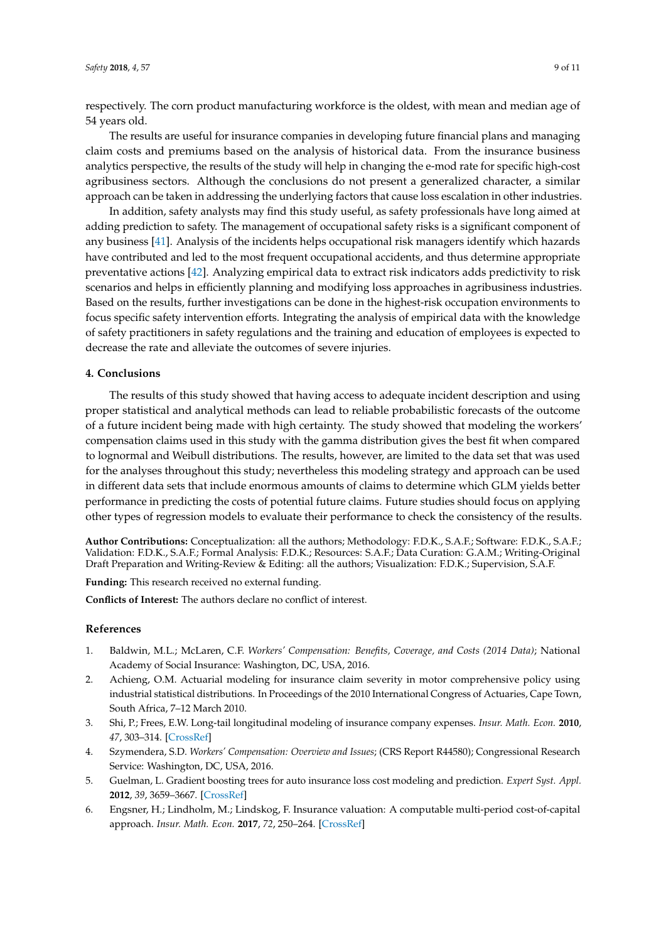respectively. The corn product manufacturing workforce is the oldest, with mean and median age of 54 years old.

The results are useful for insurance companies in developing future financial plans and managing claim costs and premiums based on the analysis of historical data. From the insurance business analytics perspective, the results of the study will help in changing the e-mod rate for specific high-cost agribusiness sectors. Although the conclusions do not present a generalized character, a similar approach can be taken in addressing the underlying factors that cause loss escalation in other industries.

In addition, safety analysts may find this study useful, as safety professionals have long aimed at adding prediction to safety. The management of occupational safety risks is a significant component of any business [\[41\]](#page-10-8). Analysis of the incidents helps occupational risk managers identify which hazards have contributed and led to the most frequent occupational accidents, and thus determine appropriate preventative actions [\[42\]](#page-10-9). Analyzing empirical data to extract risk indicators adds predictivity to risk scenarios and helps in efficiently planning and modifying loss approaches in agribusiness industries. Based on the results, further investigations can be done in the highest-risk occupation environments to focus specific safety intervention efforts. Integrating the analysis of empirical data with the knowledge of safety practitioners in safety regulations and the training and education of employees is expected to decrease the rate and alleviate the outcomes of severe injuries.

# **4. Conclusions**

The results of this study showed that having access to adequate incident description and using proper statistical and analytical methods can lead to reliable probabilistic forecasts of the outcome of a future incident being made with high certainty. The study showed that modeling the workers' compensation claims used in this study with the gamma distribution gives the best fit when compared to lognormal and Weibull distributions. The results, however, are limited to the data set that was used for the analyses throughout this study; nevertheless this modeling strategy and approach can be used in different data sets that include enormous amounts of claims to determine which GLM yields better performance in predicting the costs of potential future claims. Future studies should focus on applying other types of regression models to evaluate their performance to check the consistency of the results.

**Author Contributions:** Conceptualization: all the authors; Methodology: F.D.K., S.A.F.; Software: F.D.K., S.A.F.; Validation: F.D.K., S.A.F.; Formal Analysis: F.D.K.; Resources: S.A.F.; Data Curation: G.A.M.; Writing-Original Draft Preparation and Writing-Review & Editing: all the authors; Visualization: F.D.K.; Supervision, S.A.F.

**Funding:** This research received no external funding.

**Conflicts of Interest:** The authors declare no conflict of interest.

## **References**

- <span id="page-8-0"></span>1. Baldwin, M.L.; McLaren, C.F. *Workers' Compensation: Benefits, Coverage, and Costs (2014 Data)*; National Academy of Social Insurance: Washington, DC, USA, 2016.
- <span id="page-8-1"></span>2. Achieng, O.M. Actuarial modeling for insurance claim severity in motor comprehensive policy using industrial statistical distributions. In Proceedings of the 2010 International Congress of Actuaries, Cape Town, South Africa, 7–12 March 2010.
- <span id="page-8-2"></span>3. Shi, P.; Frees, E.W. Long-tail longitudinal modeling of insurance company expenses. *Insur. Math. Econ.* **2010**, *47*, 303–314. [\[CrossRef\]](http://dx.doi.org/10.1016/j.insmatheco.2010.07.005)
- <span id="page-8-3"></span>4. Szymendera, S.D. *Workers' Compensation: Overview and Issues*; (CRS Report R44580); Congressional Research Service: Washington, DC, USA, 2016.
- <span id="page-8-4"></span>5. Guelman, L. Gradient boosting trees for auto insurance loss cost modeling and prediction. *Expert Syst. Appl.* **2012**, *39*, 3659–3667. [\[CrossRef\]](http://dx.doi.org/10.1016/j.eswa.2011.09.058)
- <span id="page-8-5"></span>6. Engsner, H.; Lindholm, M.; Lindskog, F. Insurance valuation: A computable multi-period cost-of-capital approach. *Insur. Math. Econ.* **2017**, *72*, 250–264. [\[CrossRef\]](http://dx.doi.org/10.1016/j.insmatheco.2016.12.002)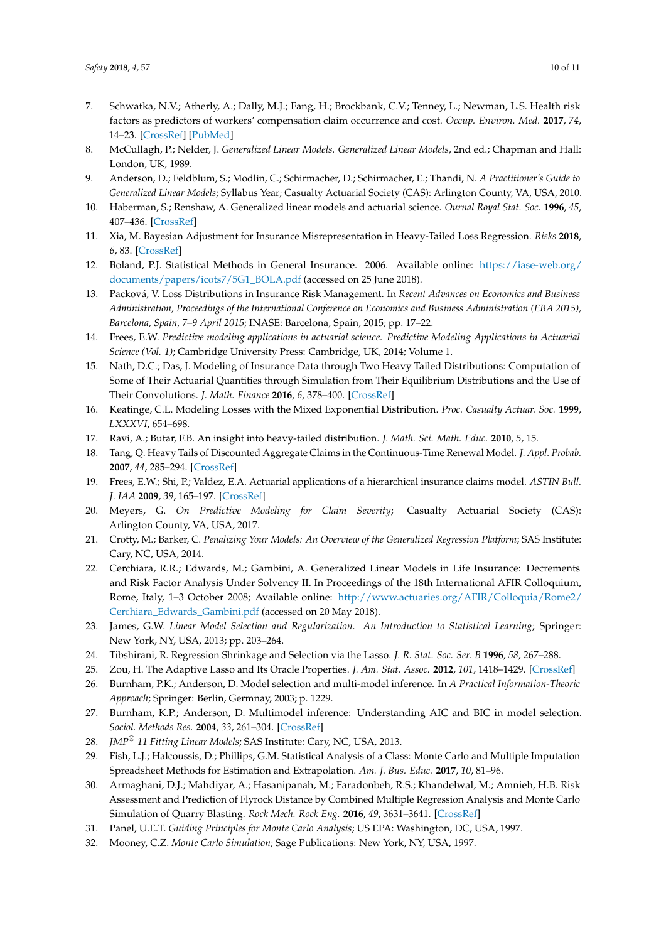- <span id="page-9-0"></span>7. Schwatka, N.V.; Atherly, A.; Dally, M.J.; Fang, H.; Brockbank, C.V.; Tenney, L.; Newman, L.S. Health risk factors as predictors of workers' compensation claim occurrence and cost. *Occup. Environ. Med.* **2017**, *74*, 14–23. [\[CrossRef\]](http://dx.doi.org/10.1136/oemed-2015-103334) [\[PubMed\]](http://www.ncbi.nlm.nih.gov/pubmed/27530688)
- <span id="page-9-1"></span>8. McCullagh, P.; Nelder, J. *Generalized Linear Models. Generalized Linear Models*, 2nd ed.; Chapman and Hall: London, UK, 1989.
- 9. Anderson, D.; Feldblum, S.; Modlin, C.; Schirmacher, D.; Schirmacher, E.; Thandi, N. *A Practitioner's Guide to Generalized Linear Models*; Syllabus Year; Casualty Actuarial Society (CAS): Arlington County, VA, USA, 2010.
- 10. Haberman, S.; Renshaw, A. Generalized linear models and actuarial science. *Ournal Royal Stat. Soc.* **1996**, *45*, 407–436. [\[CrossRef\]](http://dx.doi.org/10.2307/2988543)
- <span id="page-9-2"></span>11. Xia, M. Bayesian Adjustment for Insurance Misrepresentation in Heavy-Tailed Loss Regression. *Risks* **2018**, *6*, 83. [\[CrossRef\]](http://dx.doi.org/10.3390/risks6030083)
- <span id="page-9-3"></span>12. Boland, P.J. Statistical Methods in General Insurance. 2006. Available online: [https://iase-web.org/](https://iase-web.org/documents/papers/icots7/5G1_BOLA.pdf) [documents/papers/icots7/5G1\\_BOLA.pdf](https://iase-web.org/documents/papers/icots7/5G1_BOLA.pdf) (accessed on 25 June 2018).
- <span id="page-9-4"></span>13. Packová, V. Loss Distributions in Insurance Risk Management. In *Recent Advances on Economics and Business Administration, Proceedings of the International Conference on Economics and Business Administration (EBA 2015), Barcelona, Spain, 7–9 April 2015*; INASE: Barcelona, Spain, 2015; pp. 17–22.
- <span id="page-9-5"></span>14. Frees, E.W. *Predictive modeling applications in actuarial science. Predictive Modeling Applications in Actuarial Science (Vol. 1)*; Cambridge University Press: Cambridge, UK, 2014; Volume 1.
- <span id="page-9-6"></span>15. Nath, D.C.; Das, J. Modeling of Insurance Data through Two Heavy Tailed Distributions: Computation of Some of Their Actuarial Quantities through Simulation from Their Equilibrium Distributions and the Use of Their Convolutions. *J. Math. Finance* **2016**, *6*, 378–400. [\[CrossRef\]](http://dx.doi.org/10.4236/jmf.2016.63031)
- <span id="page-9-7"></span>16. Keatinge, C.L. Modeling Losses with the Mixed Exponential Distribution. *Proc. Casualty Actuar. Soc.* **1999**, *LXXXVI*, 654–698.
- <span id="page-9-8"></span>17. Ravi, A.; Butar, F.B. An insight into heavy-tailed distribution. *J. Math. Sci. Math. Educ.* **2010**, *5*, 15.
- <span id="page-9-9"></span>18. Tang, Q. Heavy Tails of Discounted Aggregate Claims in the Continuous-Time Renewal Model. *J. Appl. Probab.* **2007**, *44*, 285–294. [\[CrossRef\]](http://dx.doi.org/10.1239/jap/1183667401)
- <span id="page-9-10"></span>19. Frees, E.W.; Shi, P.; Valdez, E.A. Actuarial applications of a hierarchical insurance claims model. *ASTIN Bull. J. IAA* **2009**, *39*, 165–197. [\[CrossRef\]](http://dx.doi.org/10.2143/AST.39.1.2038061)
- <span id="page-9-11"></span>20. Meyers, G. *On Predictive Modeling for Claim Severity*; Casualty Actuarial Society (CAS): Arlington County, VA, USA, 2017.
- <span id="page-9-12"></span>21. Crotty, M.; Barker, C. *Penalizing Your Models: An Overview of the Generalized Regression Platform*; SAS Institute: Cary, NC, USA, 2014.
- <span id="page-9-13"></span>22. Cerchiara, R.R.; Edwards, M.; Gambini, A. Generalized Linear Models in Life Insurance: Decrements and Risk Factor Analysis Under Solvency II. In Proceedings of the 18th International AFIR Colloquium, Rome, Italy, 1–3 October 2008; Available online: [http://www.actuaries.org/AFIR/Colloquia/Rome2/](http://www.actuaries.org/AFIR/Colloquia/Rome2/Cerchiara_Edwards_Gambini.pdf) [Cerchiara\\_Edwards\\_Gambini.pdf](http://www.actuaries.org/AFIR/Colloquia/Rome2/Cerchiara_Edwards_Gambini.pdf) (accessed on 20 May 2018).
- <span id="page-9-14"></span>23. James, G.W. *Linear Model Selection and Regularization. An Introduction to Statistical Learning*; Springer: New York, NY, USA, 2013; pp. 203–264.
- <span id="page-9-15"></span>24. Tibshirani, R. Regression Shrinkage and Selection via the Lasso. *J. R. Stat. Soc. Ser. B* **1996**, *58*, 267–288.
- <span id="page-9-16"></span>25. Zou, H. The Adaptive Lasso and Its Oracle Properties. *J. Am. Stat. Assoc.* **2012**, *101*, 1418–1429. [\[CrossRef\]](http://dx.doi.org/10.1198/016214506000000735)
- <span id="page-9-17"></span>26. Burnham, P.K.; Anderson, D. Model selection and multi-model inference. In *A Practical Information-Theoric Approach*; Springer: Berlin, Germnay, 2003; p. 1229.
- <span id="page-9-18"></span>27. Burnham, K.P.; Anderson, D. Multimodel inference: Understanding AIC and BIC in model selection. *Sociol. Methods Res.* **2004**, *33*, 261–304. [\[CrossRef\]](http://dx.doi.org/10.1177/0049124104268644)
- <span id="page-9-19"></span>28. *JMP® 11 Fitting Linear Models*; SAS Institute: Cary, NC, USA, 2013.
- <span id="page-9-20"></span>29. Fish, L.J.; Halcoussis, D.; Phillips, G.M. Statistical Analysis of a Class: Monte Carlo and Multiple Imputation Spreadsheet Methods for Estimation and Extrapolation. *Am. J. Bus. Educ.* **2017**, *10*, 81–96.
- <span id="page-9-21"></span>30. Armaghani, D.J.; Mahdiyar, A.; Hasanipanah, M.; Faradonbeh, R.S.; Khandelwal, M.; Amnieh, H.B. Risk Assessment and Prediction of Flyrock Distance by Combined Multiple Regression Analysis and Monte Carlo Simulation of Quarry Blasting. *Rock Mech. Rock Eng.* **2016**, *49*, 3631–3641. [\[CrossRef\]](http://dx.doi.org/10.1007/s00603-016-1015-z)
- <span id="page-9-22"></span>31. Panel, U.E.T. *Guiding Principles for Monte Carlo Analysis*; US EPA: Washington, DC, USA, 1997.
- <span id="page-9-23"></span>32. Mooney, C.Z. *Monte Carlo Simulation*; Sage Publications: New York, NY, USA, 1997.